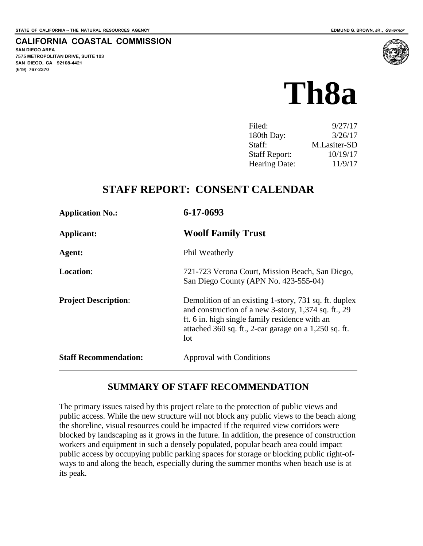### **CALIFORNIA COASTAL COMMISSION**

**SAN DIEGO AREA 7575 METROPOLITAN DRIVE, SUITE 103 SAN DIEGO, CA 92108-4421 (619) 767-2370**



| Filed:               | 9/27/17      |
|----------------------|--------------|
| 180th Day:           | 3/26/17      |
| Staff:               | M.Lasiter-SD |
| <b>Staff Report:</b> | 10/19/17     |
| <b>Hearing Date:</b> | 11/9/17      |

## **STAFF REPORT: CONSENT CALENDAR**

| <b>Application No.:</b>      | 6-17-0693                                                                                                                                                                                                                       |
|------------------------------|---------------------------------------------------------------------------------------------------------------------------------------------------------------------------------------------------------------------------------|
| Applicant:                   | <b>Woolf Family Trust</b>                                                                                                                                                                                                       |
| Agent:                       | Phil Weatherly                                                                                                                                                                                                                  |
| <b>Location:</b>             | 721-723 Verona Court, Mission Beach, San Diego,<br>San Diego County (APN No. 423-555-04)                                                                                                                                        |
| <b>Project Description:</b>  | Demolition of an existing 1-story, 731 sq. ft. duplex<br>and construction of a new 3-story, 1,374 sq. ft., 29<br>ft. 6 in. high single family residence with an<br>attached 360 sq. ft., 2-car garage on a 1,250 sq. ft.<br>lot |
| <b>Staff Recommendation:</b> | Approval with Conditions                                                                                                                                                                                                        |

### **SUMMARY OF STAFF RECOMMENDATION**

The primary issues raised by this project relate to the protection of public views and public access. While the new structure will not block any public views to the beach along the shoreline, visual resources could be impacted if the required view corridors were blocked by landscaping as it grows in the future. In addition, the presence of construction workers and equipment in such a densely populated, popular beach area could impact public access by occupying public parking spaces for storage or blocking public right-ofways to and along the beach, especially during the summer months when beach use is at its peak.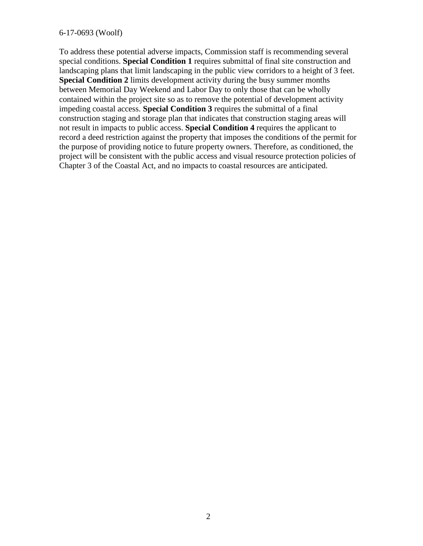#### 6-17-0693 (Woolf)

To address these potential adverse impacts, Commission staff is recommending several special conditions. **Special Condition 1** requires submittal of final site construction and landscaping plans that limit landscaping in the public view corridors to a height of 3 feet. **Special Condition 2** limits development activity during the busy summer months between Memorial Day Weekend and Labor Day to only those that can be wholly contained within the project site so as to remove the potential of development activity impeding coastal access. **Special Condition 3** requires the submittal of a final construction staging and storage plan that indicates that construction staging areas will not result in impacts to public access. **Special Condition 4** requires the applicant to record a deed restriction against the property that imposes the conditions of the permit for the purpose of providing notice to future property owners. Therefore, as conditioned, the project will be consistent with the public access and visual resource protection policies of Chapter 3 of the Coastal Act, and no impacts to coastal resources are anticipated.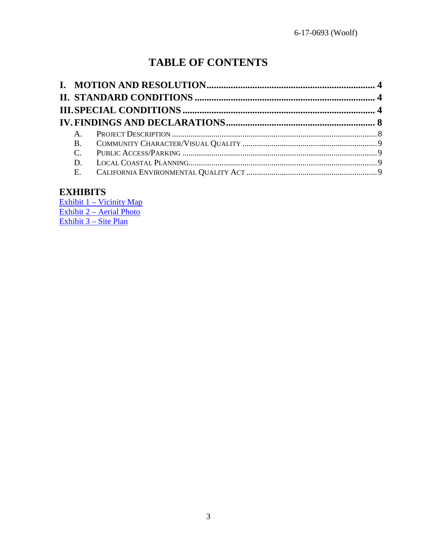# **TABLE OF CONTENTS**

| $A_{1}$ |  |
|---------|--|
|         |  |
|         |  |
|         |  |
|         |  |
|         |  |

## **EXHIBITS**

[Exhibit 1 – Vicinity Map](https://documents.coastal.ca.gov/reports/2017/11/Th8a/Th8a-11-2017-exhibits.pdf) [Exhibit 2 – Aerial Photo](https://documents.coastal.ca.gov/reports/2017/11/Th8a/Th8a-11-2017-exhibits.pdf) [Exhibit 3 – Site Plan](https://documents.coastal.ca.gov/reports/2017/11/Th8a/Th8a-11-2017-exhibits.pdf)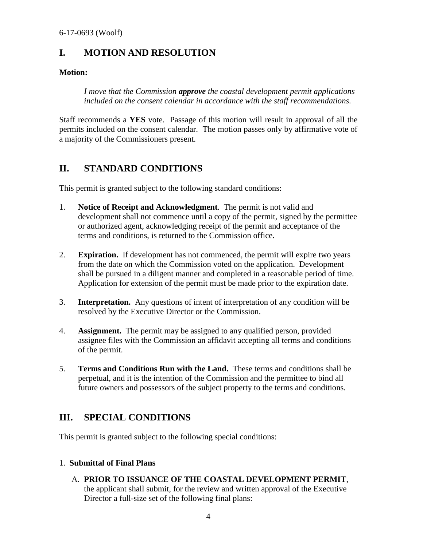## <span id="page-3-0"></span>**I. MOTION AND RESOLUTION**

#### **Motion:**

*I move that the Commission approve the coastal development permit applications included on the consent calendar in accordance with the staff recommendations.* 

Staff recommends a **YES** vote. Passage of this motion will result in approval of all the permits included on the consent calendar. The motion passes only by affirmative vote of a majority of the Commissioners present.

## <span id="page-3-1"></span>**II. STANDARD CONDITIONS**

This permit is granted subject to the following standard conditions:

- 1. **Notice of Receipt and Acknowledgment**. The permit is not valid and development shall not commence until a copy of the permit, signed by the permittee or authorized agent, acknowledging receipt of the permit and acceptance of the terms and conditions, is returned to the Commission office.
- 2. **Expiration.** If development has not commenced, the permit will expire two years from the date on which the Commission voted on the application. Development shall be pursued in a diligent manner and completed in a reasonable period of time. Application for extension of the permit must be made prior to the expiration date.
- 3. **Interpretation.** Any questions of intent of interpretation of any condition will be resolved by the Executive Director or the Commission.
- 4. **Assignment.** The permit may be assigned to any qualified person, provided assignee files with the Commission an affidavit accepting all terms and conditions of the permit.
- 5. **Terms and Conditions Run with the Land.** These terms and conditions shall be perpetual, and it is the intention of the Commission and the permittee to bind all future owners and possessors of the subject property to the terms and conditions.

## <span id="page-3-2"></span>**III. SPECIAL CONDITIONS**

This permit is granted subject to the following special conditions:

### 1. **Submittal of Final Plans**

A. **PRIOR TO ISSUANCE OF THE COASTAL DEVELOPMENT PERMIT**, the applicant shall submit, for the review and written approval of the Executive Director a full-size set of the following final plans: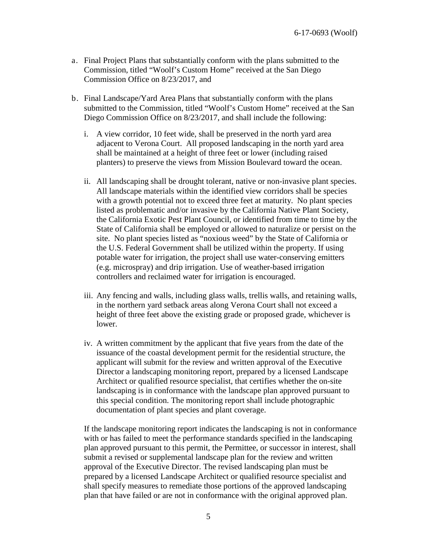- a. Final Project Plans that substantially conform with the plans submitted to the Commission, titled "Woolf's Custom Home" received at the San Diego Commission Office on 8/23/2017, and
- b. Final Landscape/Yard Area Plans that substantially conform with the plans submitted to the Commission, titled "Woolf's Custom Home" received at the San Diego Commission Office on 8/23/2017, and shall include the following:
	- i. A view corridor, 10 feet wide, shall be preserved in the north yard area adjacent to Verona Court. All proposed landscaping in the north yard area shall be maintained at a height of three feet or lower (including raised planters) to preserve the views from Mission Boulevard toward the ocean.
	- ii. All landscaping shall be drought tolerant, native or non-invasive plant species. All landscape materials within the identified view corridors shall be species with a growth potential not to exceed three feet at maturity. No plant species listed as problematic and/or invasive by the California Native Plant Society, the California Exotic Pest Plant Council, or identified from time to time by the State of California shall be employed or allowed to naturalize or persist on the site. No plant species listed as "noxious weed" by the State of California or the U.S. Federal Government shall be utilized within the property. If using potable water for irrigation, the project shall use water-conserving emitters (e.g. microspray) and drip irrigation. Use of weather-based irrigation controllers and reclaimed water for irrigation is encouraged.
	- iii. Any fencing and walls, including glass walls, trellis walls, and retaining walls, in the northern yard setback areas along Verona Court shall not exceed a height of three feet above the existing grade or proposed grade, whichever is lower.
	- iv. A written commitment by the applicant that five years from the date of the issuance of the coastal development permit for the residential structure, the applicant will submit for the review and written approval of the Executive Director a landscaping monitoring report, prepared by a licensed Landscape Architect or qualified resource specialist, that certifies whether the on-site landscaping is in conformance with the landscape plan approved pursuant to this special condition. The monitoring report shall include photographic documentation of plant species and plant coverage.

If the landscape monitoring report indicates the landscaping is not in conformance with or has failed to meet the performance standards specified in the landscaping plan approved pursuant to this permit, the Permittee, or successor in interest, shall submit a revised or supplemental landscape plan for the review and written approval of the Executive Director. The revised landscaping plan must be prepared by a licensed Landscape Architect or qualified resource specialist and shall specify measures to remediate those portions of the approved landscaping plan that have failed or are not in conformance with the original approved plan.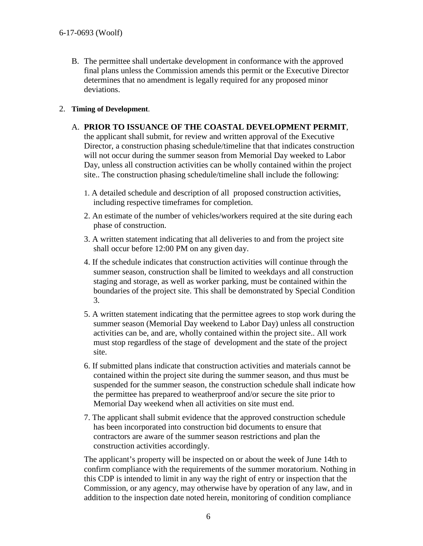B. The permittee shall undertake development in conformance with the approved final plans unless the Commission amends this permit or the Executive Director determines that no amendment is legally required for any proposed minor deviations.

#### 2. **Timing of Development**.

A. **PRIOR TO ISSUANCE OF THE COASTAL DEVELOPMENT PERMIT**,

the applicant shall submit, for review and written approval of the Executive Director, a construction phasing schedule/timeline that that indicates construction will not occur during the summer season from Memorial Day weeked to Labor Day, unless all construction activities can be wholly contained within the project site.. The construction phasing schedule/timeline shall include the following:

- 1. A detailed schedule and description of all proposed construction activities, including respective timeframes for completion.
- 2. An estimate of the number of vehicles/workers required at the site during each phase of construction.
- 3. A written statement indicating that all deliveries to and from the project site shall occur before 12:00 PM on any given day.
- 4. If the schedule indicates that construction activities will continue through the summer season, construction shall be limited to weekdays and all construction staging and storage, as well as worker parking, must be contained within the boundaries of the project site. This shall be demonstrated by Special Condition 3.
- 5. A written statement indicating that the permittee agrees to stop work during the summer season (Memorial Day weekend to Labor Day) unless all construction activities can be, and are, wholly contained within the project site.. All work must stop regardless of the stage of development and the state of the project site.
- 6. If submitted plans indicate that construction activities and materials cannot be contained within the project site during the summer season, and thus must be suspended for the summer season, the construction schedule shall indicate how the permittee has prepared to weatherproof and/or secure the site prior to Memorial Day weekend when all activities on site must end.
- 7. The applicant shall submit evidence that the approved construction schedule has been incorporated into construction bid documents to ensure that contractors are aware of the summer season restrictions and plan the construction activities accordingly.

The applicant's property will be inspected on or about the week of June 14th to confirm compliance with the requirements of the summer moratorium. Nothing in this CDP is intended to limit in any way the right of entry or inspection that the Commission, or any agency, may otherwise have by operation of any law, and in addition to the inspection date noted herein, monitoring of condition compliance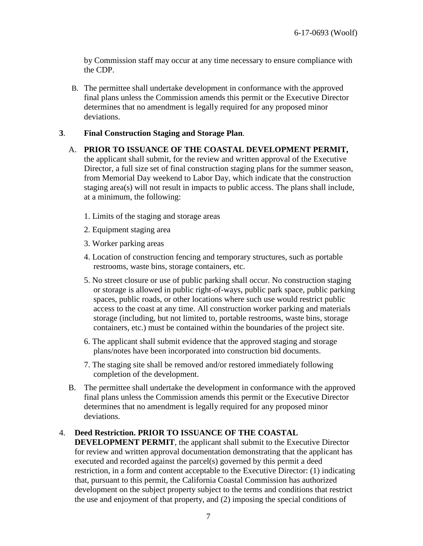by Commission staff may occur at any time necessary to ensure compliance with the CDP.

B. The permittee shall undertake development in conformance with the approved final plans unless the Commission amends this permit or the Executive Director determines that no amendment is legally required for any proposed minor deviations.

#### **3**. **Final Construction Staging and Storage Plan**.

- A. **PRIOR TO ISSUANCE OF THE COASTAL DEVELOPMENT PERMIT,** the applicant shall submit, for the review and written approval of the Executive Director, a full size set of final construction staging plans for the summer season, from Memorial Day weekend to Labor Day, which indicate that the construction staging area(s) will not result in impacts to public access. The plans shall include, at a minimum, the following:
	- 1. Limits of the staging and storage areas
	- 2. Equipment staging area
	- 3. Worker parking areas
	- 4. Location of construction fencing and temporary structures, such as portable restrooms, waste bins, storage containers, etc.
	- 5. No street closure or use of public parking shall occur. No construction staging or storage is allowed in public right-of-ways, public park space, public parking spaces, public roads, or other locations where such use would restrict public access to the coast at any time. All construction worker parking and materials storage (including, but not limited to, portable restrooms, waste bins, storage containers, etc.) must be contained within the boundaries of the project site.
	- 6. The applicant shall submit evidence that the approved staging and storage plans/notes have been incorporated into construction bid documents.
	- 7. The staging site shall be removed and/or restored immediately following completion of the development.
- B. The permittee shall undertake the development in conformance with the approved final plans unless the Commission amends this permit or the Executive Director determines that no amendment is legally required for any proposed minor deviations.

#### 4. **Deed Restriction. PRIOR TO ISSUANCE OF THE COASTAL**

**DEVELOPMENT PERMIT**, the applicant shall submit to the Executive Director for review and written approval documentation demonstrating that the applicant has executed and recorded against the parcel(s) governed by this permit a deed restriction, in a form and content acceptable to the Executive Director: (1) indicating that, pursuant to this permit, the California Coastal Commission has authorized development on the subject property subject to the terms and conditions that restrict the use and enjoyment of that property, and (2) imposing the special conditions of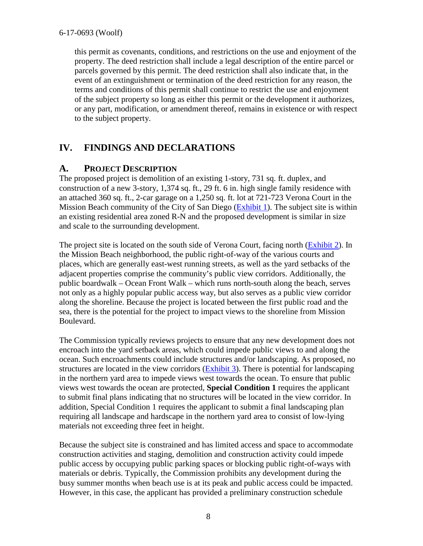#### 6-17-0693 (Woolf)

this permit as covenants, conditions, and restrictions on the use and enjoyment of the property. The deed restriction shall include a legal description of the entire parcel or parcels governed by this permit. The deed restriction shall also indicate that, in the event of an extinguishment or termination of the deed restriction for any reason, the terms and conditions of this permit shall continue to restrict the use and enjoyment of the subject property so long as either this permit or the development it authorizes, or any part, modification, or amendment thereof, remains in existence or with respect to the subject property.

## <span id="page-7-0"></span>**IV. FINDINGS AND DECLARATIONS**

### <span id="page-7-1"></span>**A. PROJECT DESCRIPTION**

The proposed project is demolition of an existing 1-story, 731 sq. ft. duplex, and construction of a new 3-story, 1,374 sq. ft., 29 ft. 6 in. high single family residence with an attached 360 sq. ft., 2-car garage on a 1,250 sq. ft. lot at 721-723 Verona Court in the Mission Beach community of the City of San Diego [\(Exhibit 1\)](https://documents.coastal.ca.gov/reports/2017/11/Th8a/Th8a-11-2017-exhibits.pdf). The subject site is within an existing residential area zoned R-N and the proposed development is similar in size and scale to the surrounding development.

The project site is located on the south side of Verona Court, facing north [\(Exhibit 2\)](https://documents.coastal.ca.gov/reports/2017/11/Th8a/Th8a-11-2017-exhibits.pdf). In the Mission Beach neighborhood, the public right-of-way of the various courts and places, which are generally east-west running streets, as well as the yard setbacks of the adjacent properties comprise the community's public view corridors. Additionally, the public boardwalk – Ocean Front Walk – which runs north-south along the beach, serves not only as a highly popular public access way, but also serves as a public view corridor along the shoreline. Because the project is located between the first public road and the sea, there is the potential for the project to impact views to the shoreline from Mission Boulevard.

The Commission typically reviews projects to ensure that any new development does not encroach into the yard setback areas, which could impede public views to and along the ocean. Such encroachments could include structures and/or landscaping. As proposed, no structures are located in the view corridors [\(Exhibit 3\)](https://documents.coastal.ca.gov/reports/2017/11/Th8a/Th8a-11-2017-exhibits.pdf). There is potential for landscaping in the northern yard area to impede views west towards the ocean. To ensure that public views west towards the ocean are protected, **Special Condition 1** requires the applicant to submit final plans indicating that no structures will be located in the view corridor. In addition, Special Condition 1 requires the applicant to submit a final landscaping plan requiring all landscape and hardscape in the northern yard area to consist of low-lying materials not exceeding three feet in height.

Because the subject site is constrained and has limited access and space to accommodate construction activities and staging, demolition and construction activity could impede public access by occupying public parking spaces or blocking public right-of-ways with materials or debris. Typically, the Commission prohibits any development during the busy summer months when beach use is at its peak and public access could be impacted. However, in this case, the applicant has provided a preliminary construction schedule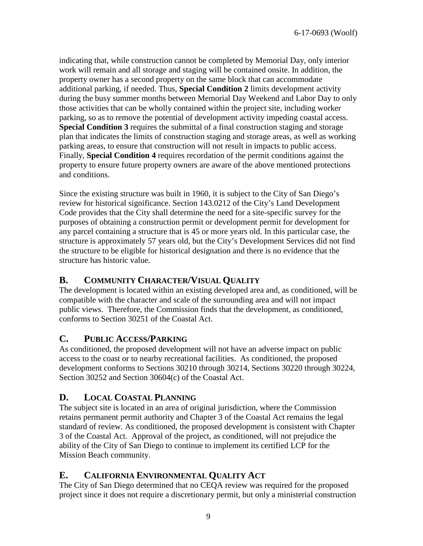indicating that, while construction cannot be completed by Memorial Day, only interior work will remain and all storage and staging will be contained onsite. In addition, the property owner has a second property on the same block that can accommodate additional parking, if needed. Thus, **Special Condition 2** limits development activity during the busy summer months between Memorial Day Weekend and Labor Day to only those activities that can be wholly contained within the project site, including worker parking, so as to remove the potential of development activity impeding coastal access. **Special Condition 3** requires the submittal of a final construction staging and storage plan that indicates the limits of construction staging and storage areas, as well as working parking areas, to ensure that construction will not result in impacts to public access. Finally, **Special Condition 4** requires recordation of the permit conditions against the property to ensure future property owners are aware of the above mentioned protections and conditions.

Since the existing structure was built in 1960, it is subject to the City of San Diego's review for historical significance. Section 143.0212 of the City's Land Development Code provides that the City shall determine the need for a site-specific survey for the purposes of obtaining a construction permit or development permit for development for any parcel containing a structure that is 45 or more years old. In this particular case, the structure is approximately 57 years old, but the City's Development Services did not find the structure to be eligible for historical designation and there is no evidence that the structure has historic value.

## <span id="page-8-0"></span>**B. COMMUNITY CHARACTER/VISUAL QUALITY**

The development is located within an existing developed area and, as conditioned, will be compatible with the character and scale of the surrounding area and will not impact public views. Therefore, the Commission finds that the development, as conditioned, conforms to Section 30251 of the Coastal Act.

### <span id="page-8-1"></span>**C. PUBLIC ACCESS/PARKING**

As conditioned, the proposed development will not have an adverse impact on public access to the coast or to nearby recreational facilities. As conditioned, the proposed development conforms to Sections 30210 through 30214, Sections 30220 through 30224, Section 30252 and Section 30604(c) of the Coastal Act.

## <span id="page-8-2"></span>**D. LOCAL COASTAL PLANNING**

The subject site is located in an area of original jurisdiction, where the Commission retains permanent permit authority and Chapter 3 of the Coastal Act remains the legal standard of review. As conditioned, the proposed development is consistent with Chapter 3 of the Coastal Act. Approval of the project, as conditioned, will not prejudice the ability of the City of San Diego to continue to implement its certified LCP for the Mission Beach community.

## <span id="page-8-3"></span>**E. CALIFORNIA ENVIRONMENTAL QUALITY ACT**

The City of San Diego determined that no CEQA review was required for the proposed project since it does not require a discretionary permit, but only a ministerial construction